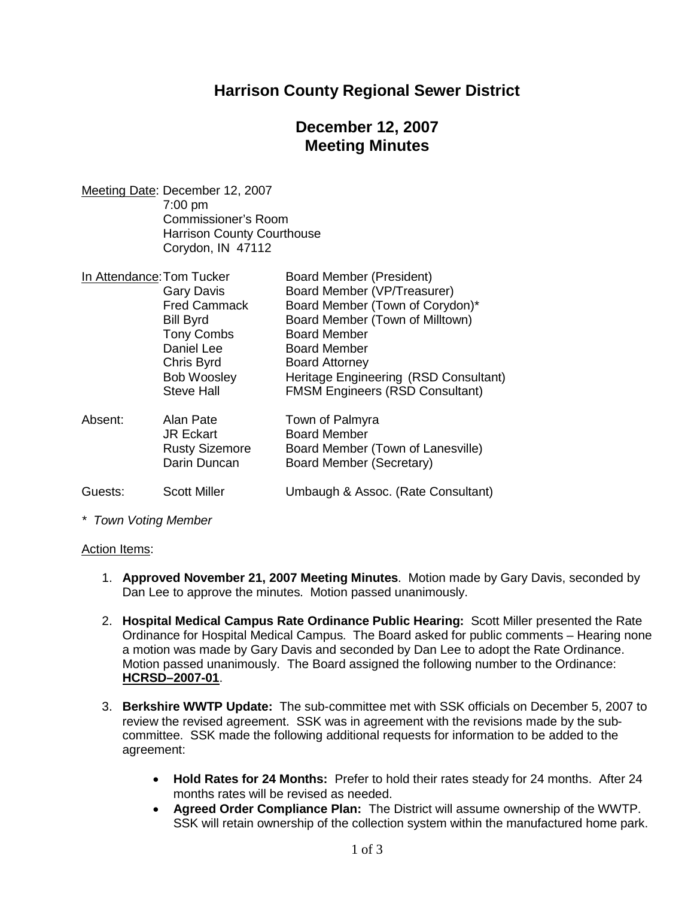## **Harrison County Regional Sewer District**

# **December 12, 2007 Meeting Minutes**

Meeting Date: December 12, 2007 7:00 pm Commissioner's Room Harrison County Courthouse Corydon, IN 47112

| In Attendance: Tom Tucker |                       | <b>Board Member (President)</b>        |
|---------------------------|-----------------------|----------------------------------------|
|                           | <b>Gary Davis</b>     | Board Member (VP/Treasurer)            |
|                           | <b>Fred Cammack</b>   | Board Member (Town of Corydon)*        |
|                           | <b>Bill Byrd</b>      | Board Member (Town of Milltown)        |
|                           | <b>Tony Combs</b>     | <b>Board Member</b>                    |
|                           | Daniel Lee            | <b>Board Member</b>                    |
|                           | Chris Byrd            | <b>Board Attorney</b>                  |
|                           | <b>Bob Woosley</b>    | Heritage Engineering (RSD Consultant)  |
|                           | <b>Steve Hall</b>     | <b>FMSM Engineers (RSD Consultant)</b> |
| Absent:                   | Alan Pate             | Town of Palmyra                        |
|                           | <b>JR Eckart</b>      | <b>Board Member</b>                    |
|                           | <b>Rusty Sizemore</b> | Board Member (Town of Lanesville)      |
|                           | Darin Duncan          | Board Member (Secretary)               |
| Guests:                   | <b>Scott Miller</b>   | Umbaugh & Assoc. (Rate Consultant)     |

*\* Town Voting Member*

#### Action Items:

- 1. **Approved November 21, 2007 Meeting Minutes**. Motion made by Gary Davis, seconded by Dan Lee to approve the minutes. Motion passed unanimously.
- 2. **Hospital Medical Campus Rate Ordinance Public Hearing:** Scott Miller presented the Rate Ordinance for Hospital Medical Campus. The Board asked for public comments – Hearing none a motion was made by Gary Davis and seconded by Dan Lee to adopt the Rate Ordinance. Motion passed unanimously. The Board assigned the following number to the Ordinance: **HCRSD–2007-01**.
- 3. **Berkshire WWTP Update:** The sub-committee met with SSK officials on December 5, 2007 to review the revised agreement. SSK was in agreement with the revisions made by the subcommittee. SSK made the following additional requests for information to be added to the agreement:
	- **Hold Rates for 24 Months:** Prefer to hold their rates steady for 24 months. After 24 months rates will be revised as needed.
	- **Agreed Order Compliance Plan:** The District will assume ownership of the WWTP. SSK will retain ownership of the collection system within the manufactured home park.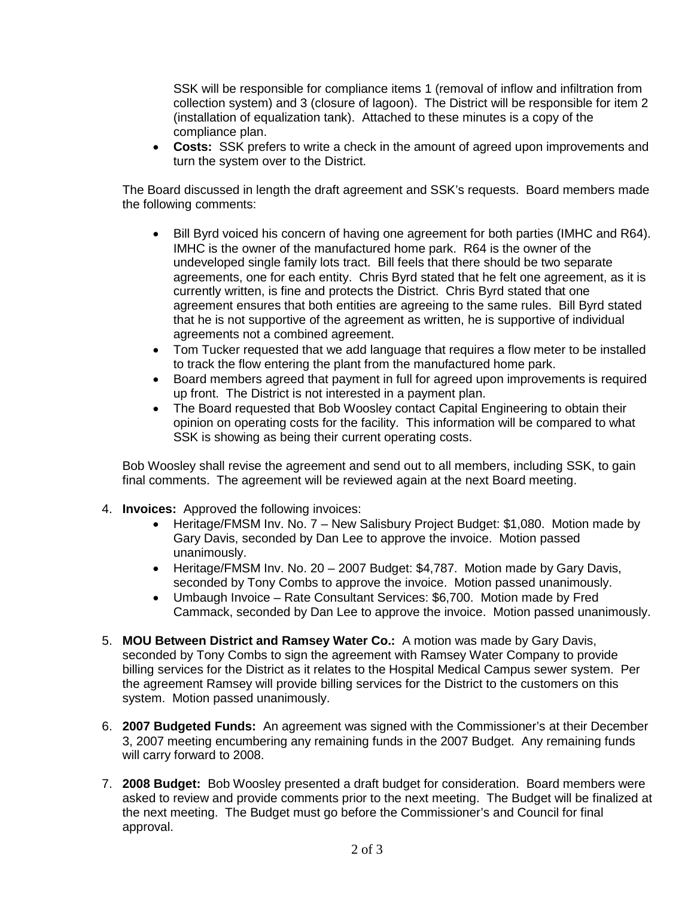SSK will be responsible for compliance items 1 (removal of inflow and infiltration from collection system) and 3 (closure of lagoon). The District will be responsible for item 2 (installation of equalization tank). Attached to these minutes is a copy of the compliance plan.

 **Costs:** SSK prefers to write a check in the amount of agreed upon improvements and turn the system over to the District.

The Board discussed in length the draft agreement and SSK's requests. Board members made the following comments:

- Bill Byrd voiced his concern of having one agreement for both parties (IMHC and R64). IMHC is the owner of the manufactured home park. R64 is the owner of the undeveloped single family lots tract. Bill feels that there should be two separate agreements, one for each entity. Chris Byrd stated that he felt one agreement, as it is currently written, is fine and protects the District. Chris Byrd stated that one agreement ensures that both entities are agreeing to the same rules. Bill Byrd stated that he is not supportive of the agreement as written, he is supportive of individual agreements not a combined agreement.
- Tom Tucker requested that we add language that requires a flow meter to be installed to track the flow entering the plant from the manufactured home park.
- Board members agreed that payment in full for agreed upon improvements is required up front. The District is not interested in a payment plan.
- The Board requested that Bob Woosley contact Capital Engineering to obtain their opinion on operating costs for the facility. This information will be compared to what SSK is showing as being their current operating costs.

Bob Woosley shall revise the agreement and send out to all members, including SSK, to gain final comments. The agreement will be reviewed again at the next Board meeting.

- 4. **Invoices:** Approved the following invoices:
	- Heritage/FMSM Inv. No. 7 New Salisbury Project Budget: \$1,080. Motion made by Gary Davis, seconded by Dan Lee to approve the invoice. Motion passed unanimously.
	- Heritage/FMSM Inv. No. 20 2007 Budget: \$4,787. Motion made by Gary Davis, seconded by Tony Combs to approve the invoice. Motion passed unanimously.
	- Umbaugh Invoice Rate Consultant Services: \$6,700. Motion made by Fred Cammack, seconded by Dan Lee to approve the invoice. Motion passed unanimously.
- 5. **MOU Between District and Ramsey Water Co.:** A motion was made by Gary Davis, seconded by Tony Combs to sign the agreement with Ramsey Water Company to provide billing services for the District as it relates to the Hospital Medical Campus sewer system. Per the agreement Ramsey will provide billing services for the District to the customers on this system. Motion passed unanimously.
- 6. **2007 Budgeted Funds:** An agreement was signed with the Commissioner's at their December 3, 2007 meeting encumbering any remaining funds in the 2007 Budget. Any remaining funds will carry forward to 2008.
- 7. **2008 Budget:** Bob Woosley presented a draft budget for consideration. Board members were asked to review and provide comments prior to the next meeting. The Budget will be finalized at the next meeting. The Budget must go before the Commissioner's and Council for final approval.